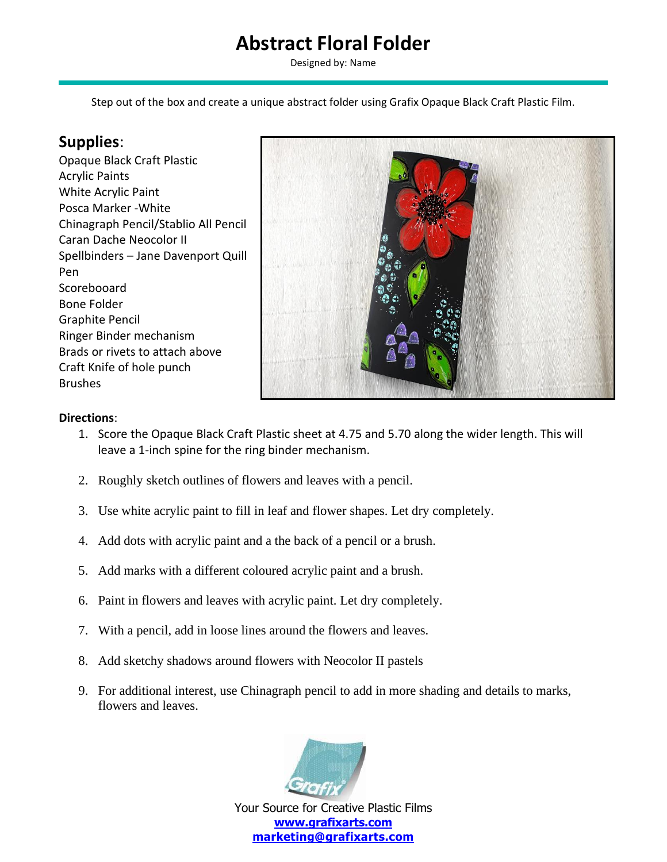## **Abstract Floral Folder**

Designed by: Name

Step out of the box and create a unique abstract folder using Grafix Opaque Black Craft Plastic Film.

## **Supplies**:

Opaque Black Craft Plastic Acrylic Paints White Acrylic Paint Posca Marker -White Chinagraph Pencil/Stablio All Pencil Caran Dache Neocolor II Spellbinders – Jane Davenport Quill Pen Scorebooard Bone Folder Graphite Pencil Ringer Binder mechanism Brads or rivets to attach above Craft Knife of hole punch Brushes



## **Directions**:

- 1. Score the Opaque Black Craft Plastic sheet at 4.75 and 5.70 along the wider length. This will leave a 1-inch spine for the ring binder mechanism.
- 2. Roughly sketch outlines of flowers and leaves with a pencil.
- 3. Use white acrylic paint to fill in leaf and flower shapes. Let dry completely.
- 4. Add dots with acrylic paint and a the back of a pencil or a brush.
- 5. Add marks with a different coloured acrylic paint and a brush.
- 6. Paint in flowers and leaves with acrylic paint. Let dry completely.
- 7. With a pencil, add in loose lines around the flowers and leaves.
- 8. Add sketchy shadows around flowers with Neocolor II pastels
- 9. For additional interest, use Chinagraph pencil to add in more shading and details to marks, flowers and leaves.



Your Source for Creative Plastic Films **[www.grafixarts.com](http://www.grafixarts.com/) [marketing@grafixarts.com](mailto:marketing@grafixarts.com)**